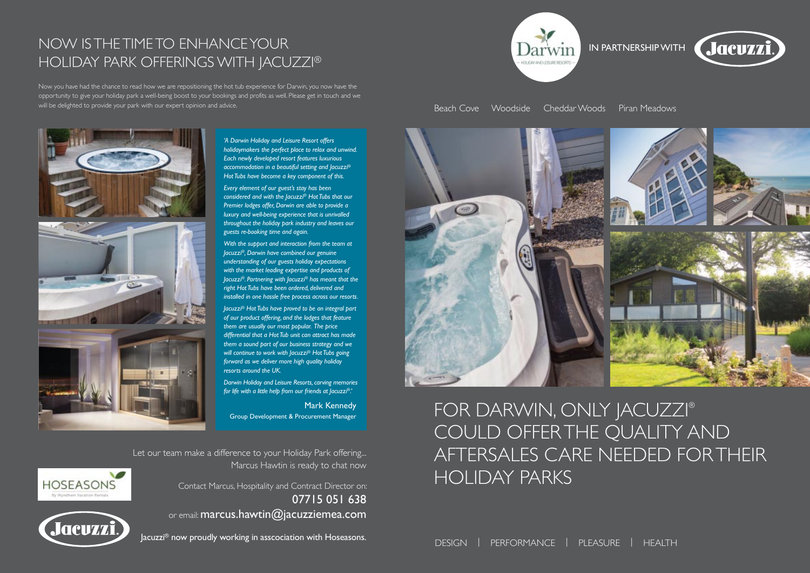FOR DARWIN, ONLY JACUZZI® COULD OFFER THE QUALITY AND AFTERSALES CARE NEEDED FOR THEIR HOLIDAY PARKS



# NOW IS THE TIME TO ENHANCE YOUR IN PARTNERSHIP WITH HOLIDAY PARK OFFERINGS WITH JACUZZI®

Now you have had the chance to read how we are repositioning the hot tub experience for Darwin, you now have the opportunity to give your holiday park a well-being boost to your bookings and profits as well. Please get in touch and we will be delighted to provide your park with our expert opinion and advice.



*'A Darwin Holiday and Leisure Resort offers holidaymakers the perfect place to relax and unwind. Each newly developed resort features luxurious accommodation in a beautiful setting and Jacuzzi® Hot Tubs have become a key component of this.*

*Every element of our guest's stay has been considered and with the Jacuzzi® Hot Tubs that our Premier lodges offer, Darwin are able to provide a luxury and well-being experience that is unrivalled throughout the holiday park industry and leaves our guests re-booking time and again.*

*With the support and interaction from the team at Jacuzzi®, Darwin have combined our genuine understanding of our guests holiday expectations with the market leading expertise and products of Jacuzzi®. Partnering with Jacuzzi® has meant that the right Hot Tubs have been ordered, delivered and installed in one hassle free process across our resorts.*

*Jacuzzi® Hot Tubs have proved to be an integral part of our product offering, and the lodges that feature them are usually our most popular. The price differential that a Hot Tub unit can attract has made them a sound part of our business strategy and we will continue to work with Jacuzzi® Hot Tubs going forward as we deliver more high quality holiday resorts around the UK.*

*Darwin Holiday and Leisure Resorts, carving memories for life with a little help from our friends at Jacuzzi®.'*

Mark Kennedy Group Development & Procurement Manager

Let our team make a difference to your Holiday Park offering... Marcus Hawtin is ready to chat now

> Contact Marcus, Hospitality and Contract Director on: 07715 051 638

or email: marcus.hawtin@jacuzziemea.com



**HOSEASONS** 

Jacuzzi® now proudly working in asscociation with Hoseasons. DESIGN | PERFORMANCE | PLEASURE | HEALTH



Beach Cove Woodside Cheddar Woods Piran Meadows